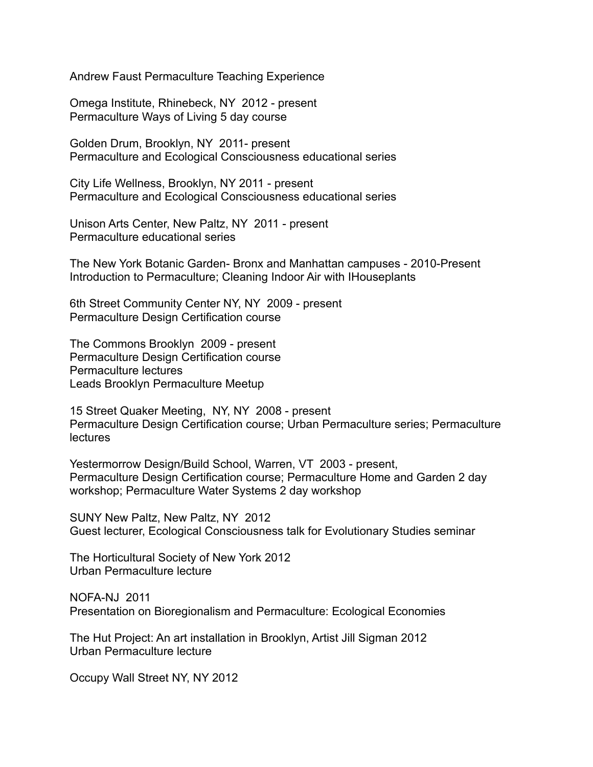Andrew Faust Permaculture Teaching Experience

Omega Institute, Rhinebeck, NY 2012 - present Permaculture Ways of Living 5 day course

Golden Drum, Brooklyn, NY 2011- present Permaculture and Ecological Consciousness educational series

City Life Wellness, Brooklyn, NY 2011 - present Permaculture and Ecological Consciousness educational series

Unison Arts Center, New Paltz, NY 2011 - present Permaculture educational series

The New York Botanic Garden- Bronx and Manhattan campuses - 2010-Present Introduction to Permaculture; Cleaning Indoor Air with IHouseplants

6th Street Community Center NY, NY 2009 - present Permaculture Design Certification course

The Commons Brooklyn 2009 - present Permaculture Design Certification course Permaculture lectures Leads Brooklyn Permaculture Meetup

15 Street Quaker Meeting, NY, NY 2008 - present Permaculture Design Certification course; Urban Permaculture series; Permaculture lectures

Yestermorrow Design/Build School, Warren, VT 2003 - present, Permaculture Design Certification course; Permaculture Home and Garden 2 day workshop; Permaculture Water Systems 2 day workshop

SUNY New Paltz, New Paltz, NY 2012 Guest lecturer, Ecological Consciousness talk for Evolutionary Studies seminar

The Horticultural Society of New York 2012 Urban Permaculture lecture

NOFA-NJ 2011 Presentation on Bioregionalism and Permaculture: Ecological Economies

The Hut Project: An art installation in Brooklyn, Artist Jill Sigman 2012 Urban Permaculture lecture

Occupy Wall Street NY, NY 2012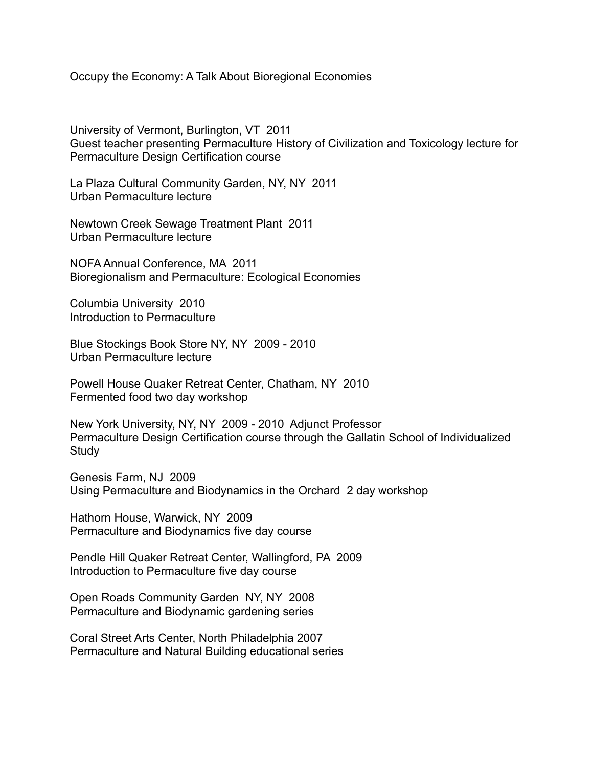Occupy the Economy: A Talk About Bioregional Economies

University of Vermont, Burlington, VT 2011 Guest teacher presenting Permaculture History of Civilization and Toxicology lecture for Permaculture Design Certification course

La Plaza Cultural Community Garden, NY, NY 2011 Urban Permaculture lecture

Newtown Creek Sewage Treatment Plant 2011 Urban Permaculture lecture

NOFA Annual Conference, MA 2011 Bioregionalism and Permaculture: Ecological Economies

Columbia University 2010 Introduction to Permaculture

Blue Stockings Book Store NY, NY 2009 - 2010 Urban Permaculture lecture

Powell House Quaker Retreat Center, Chatham, NY 2010 Fermented food two day workshop

New York University, NY, NY 2009 2010 Adjunct Professor Permaculture Design Certification course through the Gallatin School of Individualized Study

Genesis Farm, NJ 2009 Using Permaculture and Biodynamics in the Orchard 2 day workshop

Hathorn House, Warwick, NY 2009 Permaculture and Biodynamics five day course

Pendle Hill Quaker Retreat Center, Wallingford, PA 2009 Introduction to Permaculture five day course

Open Roads Community Garden NY, NY 2008 Permaculture and Biodynamic gardening series

Coral Street Arts Center, North Philadelphia 2007 Permaculture and Natural Building educational series